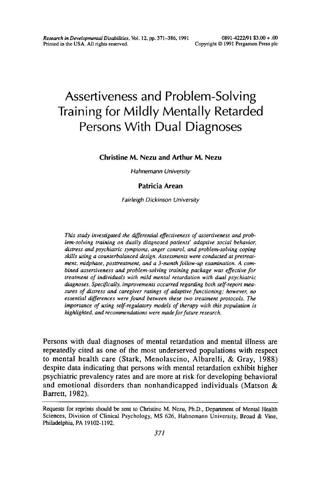# **Assertiveness and Problem-Solving Training for Mildly Mentally Retarded Persons With Dual Diagnoses**

## **Christine M. Nezu and Arthur M. Nezu**

*Hahnemann University* 

## **Patricia Arean**

*Fairleigh Dickinson University* 

*This study investigated the differential effectiveness of assertiveness and problem-solving training on dually diagnosed patients' adaptive social behavior, distress and psychiatric symptoms, anger control, and problem-solving coping skills using a counterbalanced design. Assessments were conducted at pretreatment, midphase, posttreatment, and a 3-month follow-up examination. A combined assertiveness and problem-solving training package was effective for treatment of individuals with mild mental retardation with dual psychiatric diagnoses. Specifically, improvements occurred regarding both self-report measures of distress and caregiver ratings of adaptive functioning; however, no essential differences were found between these two treatment protocols. The importance of using self-regulatory models of therapy with this population is highlighted, and recommendations were made for future research.* 

Persons with dual diagnoses of mental retardation and mental illness are repeatedly cited as one of the most underserved populations with respect to mental health care (Stark, Menolascino, Albarelli, & Gray, 1988) despite data indicating that persons with mental retardation exhibit higher psychiatric prevalency rates and are more at risk for developing behavioral and emotional disorders than nonhandicapped individuals (Matson & Barrett, 1982).

Requests for reprints should be sent to Christine M. Nezu, Ph.D., Department of Menial Health Sciences, Division of Clinical Psychology, MS 626, Hahnemann University, Broad & Vine, Philadelphia, PA 19102-1192.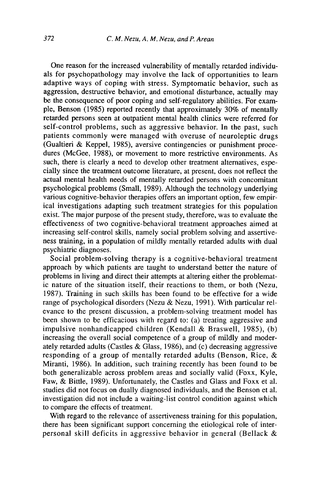One reason for the increased vulnerability of mentally retarded individuals for psychopathology may involve the lack of opportunities to learn adaptive ways of coping with stress. Symptomatic behavior, such as aggression, destructive behavior, and emotional disturbance, actually may be the consequence of poor coping and self-regulatory abilities. For example, Benson (1985) reported recently that approximately 30% of mentally retarded persons seen at outpatient mental health clinics were referred for self-control problems, such as aggressive behavior. In the past, such patients commonly were managed with overuse of neuroleptic drugs (Gualtieri & Keppel, 1985), aversive contingencies or punishment procedures (McGee, 1988), or movement to more restrictive environments. As such, there is clearly a need to develop other treatment alternatives, especially since the treatment outcome literature, at present, does not reflect the actual mental health needs of mentally retarded persons with concomitant psychological problems (Small, 1989). Although the technology underlying various cognitive-behavior therapies offers an important option, few empirical investigations adapting such treatment strategies for this population exist. The major purpose of the present study, therefore, was to evaluate the effectiveness of two cognitive-behavioral treatment approaches aimed at increasing self-control skills, namely social problem solving and assertiveness training, in a population of mildly mentally retarded adults with dual psychiatric diagnoses.

Social problem-solving therapy is a cognitive-behavioral treatment approach by which patients are taught to understand better the nature of problems in living and direct their attempts at altering either the problematic nature of the situation itself, their reactions to them, or both (Nezu, 1987). Training in such skills has been found to be effective for a wide range of psychological disorders (Nezu  $&$  Nezu, 1991). With particular relevance to the present discussion, a problem-solving treatment model has been shown to be efficacious with regard to: (a) treating aggressive and impulsive nonhandicapped children (Kendall & Braswell, 1985), (b) increasing the overall social competence of a group of mildly and moderately retarded adults (Castles  $& Glass, 1986$ ), and (c) decreasing aggressive responding of a group of mentally retarded adults (Benson, Rice, & Miranti, 1986). In addition, such training recently has been found to be both generalizable across problem areas and socially valid (Foxx, Kyle, Faw, & Bittle, 1989). Unfortunately, the Castles and Glass and Foxx et al. studies did not focus on dually diagnosed individuals, and the Benson et al. investigation did not include a waiting-list control condition against which to compare the effects of treatment.

With regard to the relevance of assertiveness training for this population, there has been significant support concerning the etiological role of interpersonal skill deficits in aggressive behavior in general (Bellack  $\&$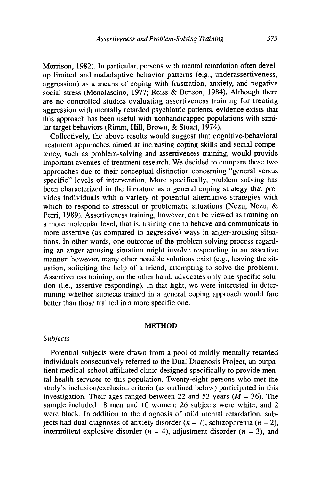Morrison, 1982). In particular, persons with mental retardation often develop limited and maladaptive behavior patterns (e.g., underassertiveness, aggression) as a means of coping with frustration, anxiety, and negative social stress (Menolascino, 1977; Reiss & Benson, 1984). Although there are no controlled studies evaluating assertiveness training for treating aggression with mentally retarded psychiatric patients, evidence exists that this approach has been useful with nonhandicapped populations with similar target behaviors (Rimm, Hill, Brown, & Stuart, 1974).

Collectively, the above results would suggest that cognitive-behavioral treatment approaches aimed at increasing coping skills and social competency, such as problem-solving and assertiveness training, would provide important avenues of treatment research. We decided to compare these two approaches due to their conceptual distinction concerning "general versus specific" levels of intervention. More specifically, problem solving has been characterized in the literature as a general coping strategy that provides individuals with a variety of potential alternative strategies with which to respond to stressful or problematic situations (Nezu, Nezu, & Perri, 1989). Assertiveness training, however, can be viewed as training on a more molecular level, that is, training one to behave and communicate in more assertive (as compared to aggressive) ways in anger-arousing situations. In other words, one outcome of the problem-solving process regarding an anger-arousing situation might involve responding in an assertive manner; however, many other possible solutions exist (e.g., leaving the situation, soliciting the help of a friend, attempting to solve the problem). Assertiveness training, on the other hand, advocates only one specific solution (i.e., assertive responding). In that light, we were interested in determining whether subjects trained in a general coping approach would fare better than those trained in a more specific one.

#### METHOD

# *Subjects*

Potential subjects were drawn from a pool of mildly mentally retarded individuals consecutively referred to the Dual Diagnosis Project, an outpatient medical-school affiliated clinic designed specifically to provide mental health services to this population. Twenty-eight persons who met the study's inclusion/exclusion criteria (as outlined below) participated in this investigation. Their ages ranged between 22 and 53 years ( $M = 36$ ). The sample included 18 men and 10 women; 26 subjects were white, and 2 were black. In addition to the diagnosis of mild mental retardation, subjects had dual diagnoses of anxiety disorder  $(n = 7)$ , schizophrenia  $(n = 2)$ , intermittent explosive disorder ( $n = 4$ ), adjustment disorder ( $n = 3$ ), and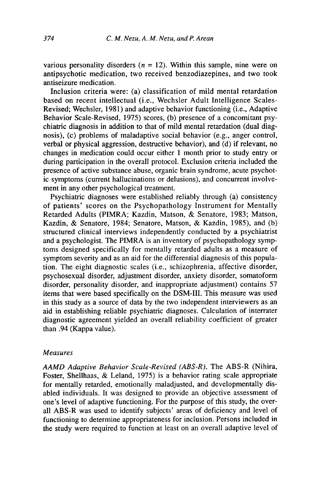various personality disorders ( $n = 12$ ). Within this sample, nine were on antipsychotic medication, two received benzodiazepines, and two took antiseizure medication.

Inclusion criteria were: (a) classification of mild mental retardation based on recent intellectual (i.e., Wechsler Adult Intelligence Scales-Revised; Wechsler, 1981) and adaptive behavior functioning (i.e., Adaptive Behavior Scale-Revised, 1975) scores, (b) presence of a concomitant psychiatric diagnosis in addition to that of mild mental retardation (dual diagnosis), (c) problems of maladaptive social behavior (e.g., anger control, verbal or physical aggression, destructive behavior), and (d) if relevant, no changes in medication could occur either 1 month prior to study entry or during participation in the overall protocol. Exclusion criteria included the presence of active substance abuse, organic brain syndrome, acute psychotic symptoms (current hallucinations or delusions), and concurrent involvement in any other psychological treatment.

Psychiatric diagnoses were established reliably through (a) consistency of patients' scores on the Psychopathology Instrument for Mentally Retarded Adults (PIMRA; Kazdin, Matson, & Senatore, 1983; Matson, Kazdin, & Senatore, 1984; Senatore, Matson, & Kazdin, 1985), and (b) structured clinical interviews independently conducted by a psychiatrist and a psychologist. The PIMRA is an inventory of psychopathology symptoms designed specifically for mentally retarded adults as a measure of symptom severity and as an aid for the differential diagnosis of this population. The eight diagnostic scales (i.e., schizophrenia, affective disorder, psychosexual disorder, adjustment disorder, anxiety disorder, somatoform disorder, personality disorder, and inappropriate adjustment) contains 57 items that were based specifically on the DSM-III. This measure was used in this study as a source of data by the two independent interviewers as an aid in establishing reliable psychiatric diagnoses. Calculation of interrater diagnostic agreement yielded an overall reliability coefficient of greater than .94 (Kappa value).

# *Measures*

*AAMD Adaptive Behavior Scale-Revised (ABS-R).* The ABS-R (Nihira, Foster, Shellhaas, & Leland, 1975) is a behavior rating scale appropriate for mentally retarded, emotionally maladjusted, and developmentally disabled individuals. It was designed to provide an objective assessment of one's level of adaptive functioning. For the purpose of this study, the overall ABS-R was used to identify subjects' areas of deficiency and level of functioning to determine appropriateness for inclusion. Persons included in the study were required to function at least on an overall adaptive level of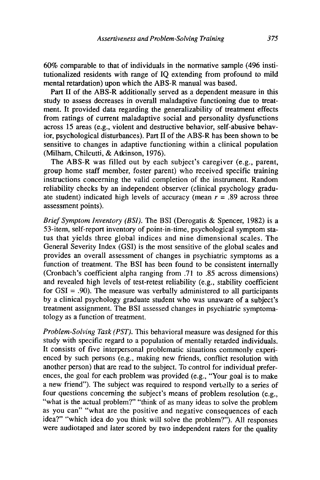60% comparable to that of individuals in the normative sample (496 institutionalized residents with range of IQ extending from profound to mild mental retardation) upon which the ABS-R manual was based.

Part II of the ABS-R additionally served as a dependent measure in this study to assess decreases in overall maladaptive functioning due to treatment. It provided data regarding the generalizability of treatment effects from ratings of current maladaptive social and personality dysfunctions across 15 areas (e.g., violent and destructive behavior, self-abusive behavior, psychological disturbances). Part II of the ABS-R has been shown to be sensitive to changes in adaptive functioning within a clinical population (Milham, Chilcutti, & Atkinson, 1976).

The ABS-R was filled out by each subject's caregiver (e.g., parent, group home staff member, foster parent) who received specific training instructions concerning the valid completion of the instrument. Random reliability checks by an independent observer (clinical psychology graduate student) indicated high levels of accuracy (mean  $r = .89$  across three assessment points).

*Brief Symptom Inventory (BSI).* The BSI (Derogatis & Spencer, 1982) is a 53-item, self-report inventory of point-in-time, psychological symptom status that yields three global indices and nine dimensional scales. The General Severity Index (GSI) is the most sensitive of the global scales and provides an overall assessment of changes in psychiatric symptoms as a function of treatment. The BSI has been found to be consistent internally (Cronbach's coefficient alpha ranging from .71 to .85 across dimensions) and revealed high levels of test-retest reliability (e.g., stability coefficient for  $GSI = .90$ ). The measure was verbally administered to all participants by a clinical psychology graduate student who was unaware of a subject's treatment assignment. The BSI assessed changes in psychiatric symptomatology as a function of treatment.

*Problem-Solving Task (PST).* This behavioral measure was designed for this study with specific regard to a population of mentally retarded individuals. It consists of five interpersonal problematic situations commonly experienced by such persons (e.g., making new friends, conflict resolution with another person) that are read to the subject. To control for individual preferences, the goal for each problem was provided (e.g., "Your goal is to make a new friend"). The subject was required to respond verbally to a series of four questions concerning the subject's means of problem resolution (e.g., "what is the actual problem?" "think of as many ideas to solve the problem as you can" "what are the positive and negative consequences of each idea?" "which idea do you think will solve the problem?"). All responses were audiotaped and later scored by two independent raters for the quality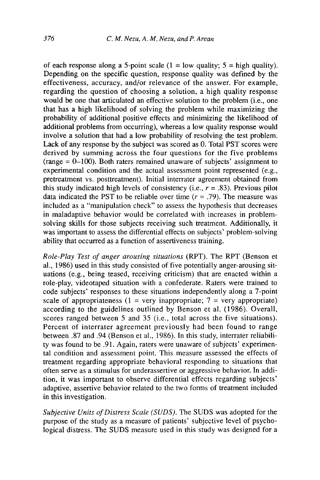of each response along a 5-point scale  $(1 = low$  quality;  $5 = high$  quality). Depending on the specific question, response quality was defined by the effectiveness, accuracy, and/or relevance of the answer. For example, regarding the question of choosing a solution, a high quality response would be one that articulated an effective solution to the problem (i.e., one that has a high likelihood of solving the problem while maximizing the probability of additional positive effects and minimizing the likelihood of additional problems from occurring), whereas a low quality response would involve a solution that had a low probability of resolving the test problem. Lack of any response by the subject was scored as 0. Total PST scores were derived by summing across the four questions for the five problems  $(\text{range} = 0-100)$ . Both raters remained unaware of subjects' assignment to experimental condition and the actual assessment point represented (e.g., pretreatment vs. posttreatment). Initial interrater agreement obtained from this study indicated high levels of consistency (i.e.,  $r = .83$ ). Previous pilot data indicated the PST to be reliable over time  $(r = .79)$ . The measure was included as a "manipulation check" to assess the hypothesis that decreases in maladaptive behavior would be correlated with increases in problemsolving skills for those subjects receiving such treatment. Additionally, it was important to assess the differential effects on subjects' problem-solving ability that occurred as a function of assertiveness training.

*Role-Play Test of anger arousing situations* (RPT). The RPT (Benson et al., 1986) used in this study consisted of five potentially anger-arousing situations (e.g., being teased, receiving criticism) that are enacted within a role-play, videotaped situation with a confederate. Raters were trained to code subjects' responses to these situations independently along a 7-point scale of appropriateness (1 = very inappropriate;  $7$  = very appropriate) according to the guidelines outlined by Benson et al. (1986). Overall, scores ranged between 5 and 35 (i.e., total across the five situations). Percent of interrater agreement previously had been found to range between .87 and .94 (Benson et al., 1986). In this study, interrater reliability was found to be .91. Again, raters were unaware of subjects' experimental condition and assessment point. This measure assessed the effects of treatment regarding appropriate behavioral responding to situations that often serve as a stimulus for underassertive or aggressive behavior. In addition, it was important to observe differential effects regarding subjects' adaptive, assertive behavior related to the two forms of treatment included in this investigation.

*Subjective Units of Distress Scale (SUDS).* The SUDS was adopted for the purpose of the study as a measure of patients' subjective level of psychological distress. The SUDS measure used in this study was designed for a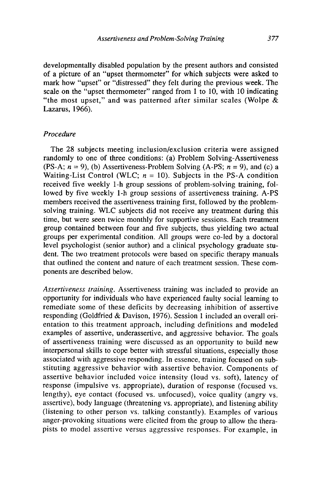developmentally disabled population by the present authors and consisted of a picture of an "upset thermometer" for which subjects were asked to mark how "upset" or "distressed" they felt during the previous week. The scale on the "upset thermometer" ranged from 1 to 10, with 10 indicating "the most upset," and was patterned after similar scales (Wolpe & Lazarus, 1966).

# *Procedure*

The 28 subjects meeting inclusion/exclusion criteria were assigned randomly to one of three conditions: (a) Problem Solving-Assertiveness (PS-A;  $n = 9$ ), (b) Assertiveness-Problem Solving (A-PS;  $n = 9$ ), and (c) a Waiting-List Control (WLC;  $n = 10$ ). Subjects in the PS-A condition received five weekly 1-h group sessions of problem-solving training, followed by five weekly 1-h group sessions of assertiveness training. A-PS members received the assertiveness training first, followed by the problemsolving training. WLC subjects did not receive any treatment during this time, but were seen twice monthly for supportive sessions. Each treatment group contained between four and five subjects, thus yielding two actual groups per experimental condition. All groups were co-led by a doctoral level psychologist (senior author) and a clinical psychology graduate student. The two treatment protocols were based on specific therapy manuals that outlined the content and nature of each treatment session. These components are described below.

*Assertiveness training.* Assertiveness training was included to provide an opportunity for individuals who have experienced faulty social learning to remediate some of these deficits by decreasing inhibition of assertive responding (Goldfried & Davison, 1976). Session 1 included an overall orientation to this treatment approach, including definitions and modeled examples of assertive, underassertive, and aggressive behavior. The goals of assertiveness training were discussed as an opportunity to build new interpersonal skills to cope better with stressful situations, especially those associated with aggressive responding. In essence, training focused on substituting aggressive behavior with assertive behavior. Components of assertive behavior included voice intensity (loud vs. soft), latency of response (impulsive vs. appropriate), duration of response (focused vs. lengthy), eye contact (focused vs. unfocused), voice quality (angry vs. assertive), body language (threatening vs. appropriate), and listening ability (listening to other person vs. talking constantly). Examples of various anger-provoking situations were elicited from the group to allow the therapists to model assertive versus aggressive responses. For example, in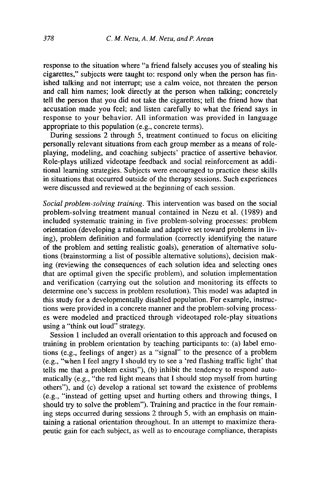response to the situation where "a friend falsely accuses you of stealing his cigarettes," subjects were taught to: respond only when the person has finished talking and not interrupt; use a calm voice, not threaten the person and call him names; look directly at the person when talking; concretely tell the person that you did not take the cigarettes; tell the friend how that accusation made you feel; and listen carefully to what the friend says in response to your behavior. All information was provided in language appropriate to this population (e.g., concrete terms).

During sessions 2 through 5, treatment continued to focus on eliciting personally relevant situations from each group member as a means of roleplaying, modeling, and coaching subjects' practice of assertive behavior. Role-plays utilized videotape feedback and social reinforcement as additional learning strategies. Subjects were encouraged to practice these skills in situations that occurred outside of the therapy sessions. Such experiences were discussed and reviewed at the beginning of each session.

*Social problem-solving training.* This intervention was based on the social problem-solving treatment manual contained in Nezu et al. (1989) and included systematic training in five problem-solving processes: problem orientation (developing a rationale and adaptive set toward problems in living), problem definition and formulation (correctly identifying the nature of the problem and setting realistic goals), generation of alternative solutions (brainstorming a list of possible alternative solutions), decision making (reviewing the consequences of each solution idea and selecting ones that are optimal given the specific problem), and solution implementation and verification (carrying out the solution and monitoring its effects to determine one's success in problem resolution). This model was adapted in this study for a developmentally disabled population. For example, instructions were provided in a concrete manner and the problem-solving processes were modeled and practiced through videotaped role-play situations using a "think out loud" strategy.

Session 1 included an overall orientation to this approach and focused on training in problem orientation by teaching participants to: (a) label emotions (e.g., feelings of anger) as a "signal" to the presence of a problem (e.g., "when I feel angry I should try to see a 'red flashing traffic light' that tells me that a problem exists"), (b) inhibit the tendency to respond automatically (e.g., "the red light means that I should stop myself from hurting others"), and (c) develop a rational set toward the existence of problems (e.g., "instead of getting upset and hurting others and throwing things, I should try to solve the problem"). Training and practice in the four remaining steps occurred during sessions 2 through 5, with an emphasis on maintaining a rational orientation throughout. In an attempt to maximize therapeutic gain for each subject, as well as to encourage compliance, therapists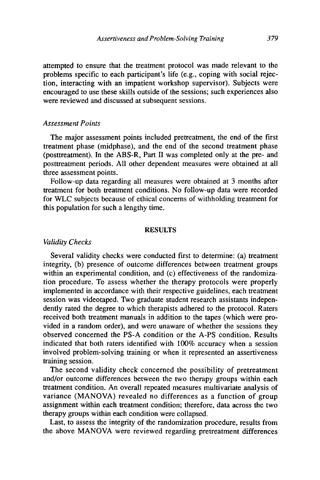attempted to ensure that the treatment protocol was made relevant to the problems specific to each participant's life (e.g., coping with social rejection, interacting with an impatient workshop supervisor). Subjects were encouraged to use these skills outside of the sessions; such experiences also were reviewed and discussed at subsequent sessions.

## *Assessment Points*

The major assessment points included pretreatment, the end of the first treatment phase (midphase), and the end of the second treatment phase (posttreatment). In the ABS-R, Part II was completed only at the pre- and posttreatment periods. All other dependent measures were obtained at all three assessment points.

Follow-up data regarding all measures were obtained at 3 months after treatment for both treatment conditions. No follow-up data were recorded for WLC subjects because of ethical concerns of withholding treatment for this population for such a lengthy time.

### RESULTS

# *Validity Checks*

Several validity checks were conducted first to determine: (a) treatment integrity, (b) presence of outcome differences between treatment groups within an experimental condition, and (c) effectiveness of the randomization procedure. To assess whether the therapy protocols were properly implemented in accordance with their respective guidelines, each treatment session was videotaped. Two graduate student research assistants independently rated the degree to which therapists adhered to the protocol. Raters received both treatment manuals in addition to the tapes (which were provided in a random order), and were unaware of whether the sessions they observed concerned the PS-A condition or the A-PS condition. Results indicated that both raters identified with 100% accuracy when a session involved problem-solving training or when it represented an assertiveness training session.

The second validity check concerned the possibility of pretreatment and/or outcome differences between the two therapy groups within each treatment condition. An overall repeated measures multivariate analysis of variance (MANOVA) revealed no differences as a function of group assignment within each treatment condition; therefore, data across the two therapy groups within each condition were collapsed.

Last, to assess the integrity of the randomization procedure, results from the above MANOVA were reviewed regarding pretreatment differences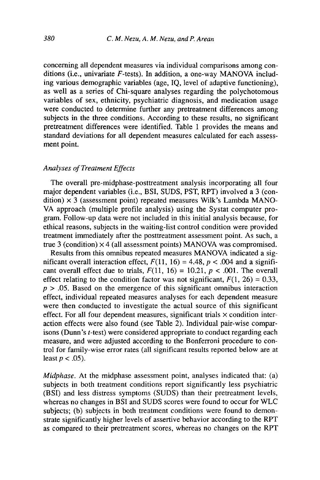concerning all dependent measures via individual comparisons among conditions (i.e., univariate F-tests). In addition, a one-way MANOVA including various demographic variables (age, IQ, level of adaptive functioning), as well as a series of Chi-square analyses regarding the polychotomous variables of sex, ethnicity, psychiatric diagnosis, and medication usage were conducted to determine further any pretreatment differences among subjects in the three conditions. According to these results, no significant pretreatment differences were identified. Table 1 provides the means and standard deviations for all dependent measures calculated for each assessment point.

# *Analyses of Treatment Effects*

The overall pre-midphase-posttreatment analysis incorporating all four major dependent variables (i.e., BSI, SUDS, PST, RPT) involved a 3 (condition)  $\times$  3 (assessment point) repeated measures Wilk's Lambda MANO-VA approach (multiple profile analysis) using the Systat computer program. Follow-up data were not included in this initial analysis because, for ethical reasons, subjects in the waiting-list control condition were provided treatment immediately after the posttreatment assessment point. As such, a true 3 (condition)  $\times$  4 (all assessment points) MANOVA was compromised.

Results from this omnibus repeated measures MANOVA indicated a significant overall interaction effect,  $F(11, 16) = 4.48$ ,  $p < .004$  and a significant overall effect due to trials,  $F(11, 16) = 10.21$ ,  $p < .001$ . The overall effect relating to the condition factor was not significant,  $F(1, 26) = 0.33$ ,  $p > .05$ . Based on the emergence of this significant omnibus interaction effect, individual repeated measures analyses for each dependent measure were then conducted to investigate the actual source of this significant effect. For all four dependent measures, significant trials  $\times$  condition interaction effects were also found (see Table 2). Individual pair-wise comparisons (Dunn's t-test) were considered appropriate to conduct regarding each measure, and were adjusted according to the Bonferroni procedure to control for family-wise error rates (all significant results reported below are at least  $p < .05$ ).

*Midphase*. At the midphase assessment point, analyses indicated that: (a) subjects in both treatment conditions report significantly less psychiatric (BSI) and less distress symptoms (SUDS) than their pretreatment levels, whereas no changes in BSI and SUDS scores were found to occur for WLC subjects; (b) subjects in both treatment conditions were found to demonstrate significantly higher levels of assertive behavior according to the RPT as compared to their pretreatment scores, whereas no changes on the RPT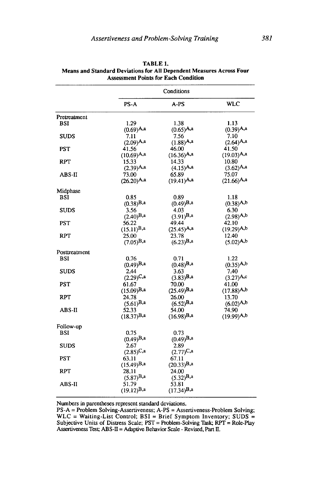|               | Conditions              |                          |                          |
|---------------|-------------------------|--------------------------|--------------------------|
|               | PS-A                    | A-PS                     | WLC                      |
| Pretreatment  |                         |                          |                          |
| BSI           | 1.29                    | 1.38                     | 1.13                     |
|               | $(0.69)$ A,a            | $(0.65)$ A,a             | $(0.39)$ A,a             |
| SUDS          | 7.11                    | 7.56                     | 7.10                     |
|               | $(2.09)$ A,a            | $(1.88)$ <sup>A,a</sup>  | $(2.64)$ <sup>A,a</sup>  |
| <b>PST</b>    | 41.56                   | 46.00                    | 41.50                    |
|               | $(10.69)$ A,a           | $(16.36)$ A,a            | $(19.03)$ A,a            |
| RPT           | 15.33                   | 14.33                    | 10.80                    |
|               | $(2.39)$ A,a            | $(4.15)$ A,a             | $(3.62)$ A,a             |
| ABS-II        | 73.00                   | 65.89                    | 75.07                    |
|               | $(26.20)$ A,a           | $(19.41)^{A,a}$          | $(21.66)$ <sup>A,a</sup> |
| Midphase      |                         |                          |                          |
| BSI           | 0.85                    | 0.89                     | 1.18                     |
|               | $(0.38)$ B,a            | (0.49)B,a                | $(0.38)$ A,b             |
| SUDS          | 3.56                    | 4.03                     | 6.30                     |
|               | $(2.40)^{B,a}$          | (3.91)B,a                | $(2.98)$ A,b             |
| <b>PST</b>    | 56.22                   | 49.44                    | 42.10                    |
|               | (15.11)B,a              | $(25.45)$ <sup>A,a</sup> | $(19.29)$ A,b            |
| <b>RPT</b>    | 25.00                   | 23.78                    | 12.40                    |
|               | $(7.05)^{B,a}$          | $(6.23)$ B,a             | $(5.02)$ A,b             |
| Posttreatment |                         |                          |                          |
| BSI           | 0.76                    | 0.71                     | 1.22                     |
|               | $(0.49)^{B,a}$          | $(0.48)$ B,a             | $(0.35)$ A,b             |
| <b>SUDS</b>   | 2.44                    | 3.63                     | 7.40                     |
|               | $(2.29)^{C,a}$          | $(3.83)$ B,a             | $(3.27)$ A,c             |
| PST           | 61.67                   | 70.00                    | 41.00                    |
|               | $(15.09)^{B,a}$         | (25.49)B.a               | $(17.88)$ A,b            |
| RPT           | 24.78                   | 26.00                    | 13.70                    |
|               | $(5.61)^{B,a}$          | $(6.52)^{B,a}$           | $(6.02)$ A,b             |
| ABS-II        | 52.33                   | 54.00                    | 74.90                    |
|               | $(18.37)$ B,a           | $(16.98)$ B,a            | $(19.99)$ A,b            |
| Follow-up     |                         |                          |                          |
| BSI           | 0.75                    | 0.73                     |                          |
|               | $(0.49)^{B,a}$          | $(0.49)$ <sup>B,a</sup>  |                          |
| SUDS          | 2.67                    | 2.89                     |                          |
|               | $(2.85)^{C,a}$          | $(2.77)^{C,a}$           |                          |
| PST           | 63.11                   | 67.11                    |                          |
|               | $(15.49)^{B,a}$         | $(20.33)$ B,a            |                          |
| RPT           | 28.11                   | 24.00                    |                          |
|               | $(5.87)$ <sup>B,a</sup> | $(5.32)$ B,a             |                          |
| $ABS-II$      | 51.79                   | 53.81                    |                          |
|               | $(19.12)$ B,a           | (17.34)B,a               |                          |

**TABLE 1. Means and Standard Deviations for All Dependent Measures Across Four Assessment Points for Each Condition** 

Numbers in parentheses represent standard deviations.

PS-A = Problem Solving-Assertiveness; A-PS = Assertiveness-Problem Solving; WLC = Waiting-List Control; BSI = Brief Symptom Inventory; SUDS = Subjective Units of Distress Scale; PST = Problem-Solving Task; RPT = Role-Play Assertiveness Test; ABS-II = Adaptive Behavior Scale - Revised, Part II.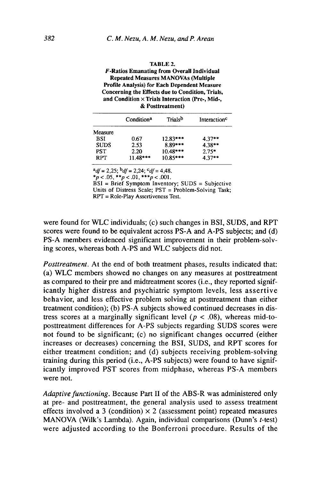#### **TABLE** 2. **F-Ratios Emanating from Overall Individual Repeated Measures MANOVAs (Multiple Profile Analysis) for Each Dependent Measure Concerning the Effects due to Condition, Trials, and Condition × Trials Interaction (Pre-, Mid-, & Posttreatment)**

|             | Condition <sup>a</sup> | Trials <sup>b</sup> | Interaction <sup>c</sup> |
|-------------|------------------------|---------------------|--------------------------|
| Measure     |                        |                     |                          |
| BSI         | 0.67                   | 12.83***            | $4.37**$                 |
| <b>SUDS</b> | 2.53                   | 8.89***             | $4.38**$                 |
| <b>PST</b>  | 2.20                   | $10.48***$          | $2.75*$                  |
| <b>RPT</b>  | $11.48***$             | $10.85***$          | $4.37**$                 |

 $^{a}df = 2,25;$   $^{b}df = 2,24;$   $^{c}df = 4,48.$ 

 $*_{p}$  < .05,  $*_{p}$  < .01,  $*_{p}$  < .001.

BSI = Brief Symptom Inventory; SUDS = Subjective Units of Distress Scale; PST = Problem-Solving Task; RPT = Role-Play Assertiveness Test.

were found for WLC individuals; (c) such changes in BSI, SUDS, and RPT scores were found to be equivalent across PS-A and A-PS subjects; and (d) PS-A members evidenced significant improvement in their problem-solving scores, whereas both A-PS and WLC subjects did not.

*Posttreatment.* At the end of both treatment phases, results indicated that: (a) WLC members showed no changes on any measures at posttreatment as compared to their pre and midtreatment scores (i.e., they reported significantly higher distress and psychiatric symptom levels, less assertive behavior, and less effective problem solving at posttreatment than either treatment condition); (b) PS-A subjects showed continued decreases in distress scores at a marginally significant level ( $p < .08$ ), whereas mid-toposttreatment differences for A-PS subjects regarding SUDS scores were not found to be significant; (c) no significant changes occurred (either increases or decreases) concerning the BSI, SUDS, and RPT scores for either treatment condition; and (d) subjects receiving problem-solving training during this period (i.e., A-PS subjects) were found to have significantly improved PST scores from midphase, whereas PS-A members were not.

*Adaptive functioning.* Because Part II of the ABS-R was administered only at pre- and posttreatment, the general analysis used to assess treatment effects involved a 3 (condition)  $\times$  2 (assessment point) repeated measures MANOVA (Wilk's Lambda). Again, individual comparisons (Dunn's t-test) were adjusted according to the Bonferroni procedure. Results of the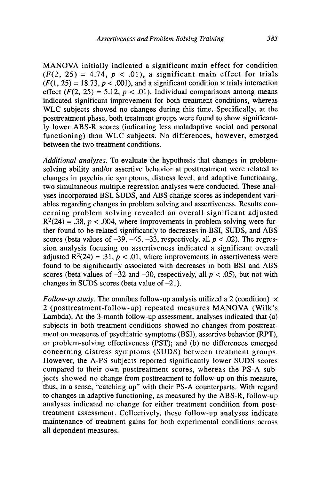MANOVA initially indicated a significant main effect for condition  $(F(2, 25) = 4.74, p < .01)$ , a significant main effect for trials  $(F(1, 25) = 18.73, p < .001)$ , and a significant condition  $\times$  trials interaction effect  $(F(2, 25) = 5.12, p < .01)$ . Individual comparisons among means indicated significant improvement for both treatment conditions, whereas WLC subjects showed no changes during this time. Specifically, at the posttreatment phase, both treatment groups were found to show significantly lower ABS-R scores (indicating less maladaptive social and personal functioning) than WLC subjects. No differences, however, emerged between the two treatment conditions.

*Additional analyses.* To evaluate the hypothesis that changes in problemsolving ability and/or assertive behavior at posttreatment were related to changes in psychiatric symptoms, distress level, and adaptive functioning, two simultaneous multiple regression analyses were conducted. These analyses incorporated BSI, SUDS, and ABS change scores as independent variables regarding changes in problem solving and assertiveness. Results concerning problem solving revealed an overall significant adjusted  $R<sup>2</sup>(24) = .38, p < .004$ , where improvements in problem solving were further found to be related significantly to decreases in BSI, SUDS, and ABS scores (beta values of  $-39$ ,  $-45$ ,  $-33$ , respectively, all  $p < .02$ ). The regression analysis focusing on assertiveness indicated a significant overall adjusted  $\mathbb{R}^2(24) = .31$ ,  $p < .01$ , where improvements in assertiveness were found to be significantly associated with decreases in both BSI and ABS scores (beta values of  $-32$  and  $-30$ , respectively, all  $p < .05$ ), but not with changes in SUDS scores (beta value of  $-21$ ).

*Follow-up study.* The omnibus follow-up analysis utilized a 2 (condition)  $\times$ 2 (posttreatment-follow-up) repeated measures MANOVA (Wilk's Lambda). At the 3-month follow-up assessment, analyses indicated that (a) subjects in both treatment conditions showed no changes from posttreatment on measures of psychiatric symptoms (BSI), assertive behavior (RPT), or problem-solving effectiveness (PST); and (b) no differences emerged concerning distress symptoms (SUDS) between treatment groups. However, the A-PS subjects reported significantly lower SUDS scores compared to their own posttreatment scores, whereas the PS-A subjects showed no change from posttreatment to follow-up on this measure, thus, in a sense, "catching up" with their PS-A counterparts. With regard to changes in adaptive functioning, as measured by the ABS-R, follow-up analyses indicated no change for either treatment condition from posttreatment assessment. Collectively, these follow-up analyses indicate maintenance of treatment gains for both experimental conditions across all dependent measures.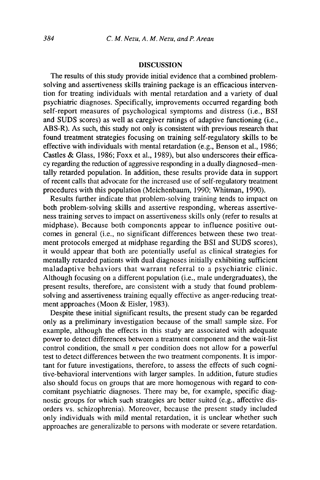## **DISCUSSION**

The results of this study provide initial evidence that a combined problemsolving and assertiveness skills training package is an efficacious intervention for treating individuals with mental retardation and a variety of dual psychiatric diagnoses. Specifically, improvements occurred regarding both self-report measures of psychological symptoms and distress (i.e., BSI and SUDS scores) as well as caregiver ratings of adaptive functioning (i.e., ABS-R). As such, this study not only is consistent with previous research that found treatment strategies focusing on training self-regulatory skills to be effective with individuals with mental retardation (e.g., Benson et al., 1986; Castles & Glass, 1986; Foxx et al., 1989), but also underscores their efficacy regarding the reduction of aggressive responding in a dually diagnosed-mentally retarded population. In addition, these results provide data in support of recent calls that advocate for the increased use of self-regulatory treatment procedures with this population (Meichenbaum, 1990; Whitman, 1990).

Results further indicate that problem-solving training tends to impact on both problem-solving skills and assertive responding, whereas assertiveness training serves to impact on assertiveness skills only (refer to results at midphase). Because both components appear to influence positive outcomes in general (i.e., no significant differences between these two treatment protocols emerged at midphase regarding the BSI and SUDS scores), it would appear that both are potentially useful as clinical strategies for mentally retarded patients with dual diagnoses initially exhibiting sufficient maladaptive behaviors that warrant referral to a psychiatric clinic. Although focusing on a different population (i.e., male undergraduates), the present results, therefore, are consistent with a study that found problemsolving and assertiveness training equally effective as anger-reducing treatment approaches (Moon & Eisler, 1983).

Despite these initial significant results, the present study can be regarded only as a preliminary investigation because of the small sample size. For example, although the effects in this study are associated with adequate power to detect differences between a treatment component and the wait-list control condition, the small  $n$  per condition does not allow for a powerful test to detect differences between the two treatment components. It is important for future investigations, therefore, to assess the effects of such cognitive-behavioral interventions with larger samples. In addition, future studies also should focus on groups that are more homogenous with regard to concomitant psychiatric diagnoses. There may be, for example, specific diagnostic groups for which such strategies are better suited (e.g., affective disorders vs. schizophrenia). Moreover, because the present study included only individuals with mild mental retardation, it is unclear whether such approaches are generalizable to persons with moderate or severe retardation.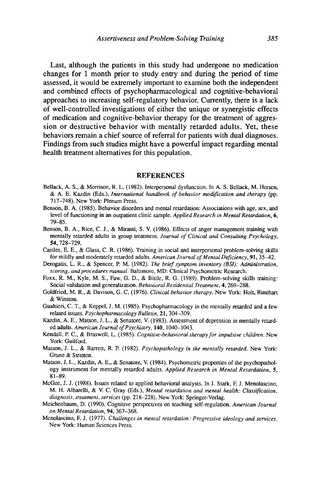Last, although the patients in this study had undergone no medication changes for 1 month prior to study entry and during the period of time assessed, it would be extremely important to examine both the independent and combined effects of psychopharmacological and cognitive-behavioral approaches to increasing self-regulatory behavior. Currently, there is a lack of well-controlled investigations of either the unique or synergistic effects of medication and cognitive-behavior therapy for the treatment of aggression or destructive behavior with mentally retarded adults. Yet, these behaviors remain a chief source of referral for patients with dual diagnoses. Findings from such studies might have a powerful impact regarding mental health treatment alternatives for this population.

#### REFERENCES

- Bellack, A. S., & Morrison, R. L. (1982). Interpersonal dysfunction. In A. S. Bellack, M. Hersen, & A. E. Kazdin (Eds.), *International handbook of behavior modification and therapy (pp.*  717-748), New York: Plenum Press.
- Benson, B. A. (1985). Behavior disorders and mental retardation: Associations with age, sex, and level of functioning in an outpatient clinic sample. *Applied Research in Mental Retardation,* 6, 79-85.
- Benson, B. A., Rice, C. J., & Miranti, S. V. (1986). Effects of anger management training with mentally retarded adults in group treatment. *Journal of Clinical and Consulting Psychology,*  54, 728-729.
- Castles, E. E., & Glass, C. R. (1986). Training in social and interpersonal problem-solving skills for mildly and moderately retarded adults. *American Journal of Mental Deficiency,* 91, 35-42.
- Derogatis, L. R., & Spencer, P. M. (1982). *The brief symptom inventory (BSI): Administration, scoring, and procedures manual.* Baltimore, MD: Clinical Psychometric Research.
- Foxx, R. M., Kyle, M. S., Faw, G. D., & Bittle, R. G. (1989). Problem-solving skills training: Social validation and generalization. *Behavioral Residential Treatment,* 4, 269-288.
- Goldfried, M. R., & Davison, G. C. (1976). *Clinical behavior therapy.* New York: Holt, Rinehart & Winston.
- Gualtieri, C. T., & Keppel, J. M. (1985). Psychopharmacology in the mentally retarded and a few related issues. *Psychopharmacology Bulletin,* 21,304-309.
- Kazdin, A. E., Matson, J. L., & Senatore, V. (1983). Assessment of depression in mentally retarded adults. *American Journal of Psychiatry,* 140, 1040-1043.
- Kendall, P. C., & Braswell, L. (1985). *Cognitive-behavioral therapy for impulsive children.* New York: Guilford.
- Matson, J. L., & Barrett, R. R (1982). *Psychopathology in the mentally retarded.* New York: Grune & Stratton.
- Matson, J. L., Kazdin, A. E., & Senatore, V. (1984). Psychometric properties of the psychopathology instrument for mentally retarded adults. *Applied Research in Mental Retardation, 5,*  81-89.
- McGee, J. J. (1988). Issues related to applied behavioral analysis. In J. Stark, F. J. Menolascino, M. H. Albarelli, & V. C. Gray (Eds.), *Mental retardation and mental health: Classification, diagnosis, treatment, services* (pp. 218-228). New York: Springer-Verlag.
- Meichenbaum, D. (1990). Cognitive perspectives on teaching self-regulation. *American Journal on Mental Retardation,* 94, 367-368.
- Menolascino, F. J. (1977). *Challenges in mental retardation: Progressive ideology and services.*  New York: Human Sciences Press.